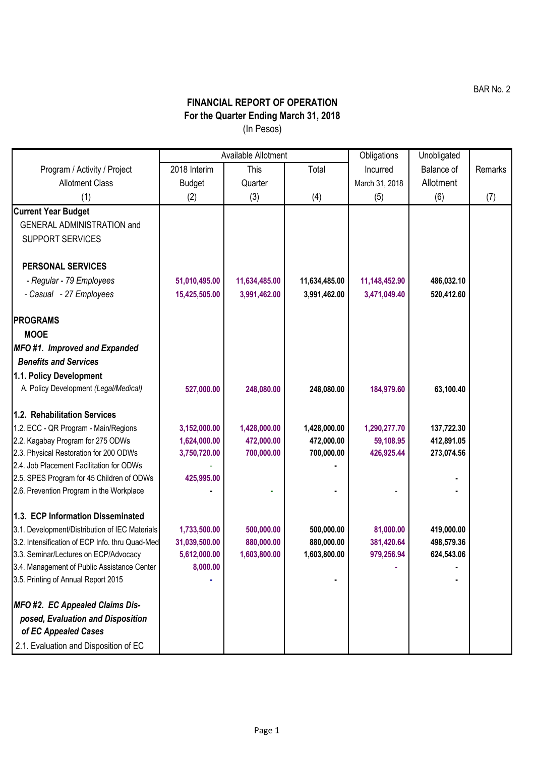BAR No. 2

## **FINANCIAL REPORT OF OPERATION For the Quarter Ending March 31, 2018** (In Pesos)

|                                                                                    | Available Allotment |               |               | Obligations    | Unobligated |         |
|------------------------------------------------------------------------------------|---------------------|---------------|---------------|----------------|-------------|---------|
| Program / Activity / Project                                                       | 2018 Interim        | <b>This</b>   | Total         | Incurred       | Balance of  | Remarks |
| <b>Allotment Class</b>                                                             | <b>Budget</b>       | Quarter       |               | March 31, 2018 | Allotment   |         |
| (1)                                                                                | (2)                 | (3)           | (4)           | (5)            | (6)         | (7)     |
| <b>Current Year Budget</b>                                                         |                     |               |               |                |             |         |
| <b>GENERAL ADMINISTRATION and</b>                                                  |                     |               |               |                |             |         |
| <b>SUPPORT SERVICES</b>                                                            |                     |               |               |                |             |         |
|                                                                                    |                     |               |               |                |             |         |
| <b>PERSONAL SERVICES</b>                                                           |                     |               |               |                |             |         |
| - Regular - 79 Employees                                                           | 51,010,495.00       | 11,634,485.00 | 11,634,485.00 | 11,148,452.90  | 486,032.10  |         |
| - Casual - 27 Employees                                                            | 15,425,505.00       | 3,991,462.00  | 3,991,462.00  | 3,471,049.40   | 520,412.60  |         |
|                                                                                    |                     |               |               |                |             |         |
| <b>PROGRAMS</b>                                                                    |                     |               |               |                |             |         |
| <b>MOOE</b>                                                                        |                     |               |               |                |             |         |
| MFO#1. Improved and Expanded                                                       |                     |               |               |                |             |         |
| <b>Benefits and Services</b>                                                       |                     |               |               |                |             |         |
| 1.1. Policy Development                                                            |                     |               |               |                |             |         |
| A. Policy Development (Legal/Medical)                                              | 527,000.00          | 248,080.00    | 248,080.00    | 184,979.60     | 63,100.40   |         |
|                                                                                    |                     |               |               |                |             |         |
| 1.2. Rehabilitation Services                                                       |                     |               |               |                |             |         |
| 1.2. ECC - QR Program - Main/Regions                                               | 3,152,000.00        | 1,428,000.00  | 1,428,000.00  | 1,290,277.70   | 137,722.30  |         |
| 2.2. Kagabay Program for 275 ODWs                                                  | 1,624,000.00        | 472,000.00    | 472,000.00    | 59,108.95      | 412,891.05  |         |
| 2.3. Physical Restoration for 200 ODWs<br>2.4. Job Placement Facilitation for ODWs | 3,750,720.00        | 700,000.00    | 700,000.00    | 426,925.44     | 273,074.56  |         |
| 2.5. SPES Program for 45 Children of ODWs                                          | 425,995.00          |               |               |                |             |         |
| 2.6. Prevention Program in the Workplace                                           |                     |               |               |                |             |         |
|                                                                                    |                     |               |               |                |             |         |
| 1.3. ECP Information Disseminated                                                  |                     |               |               |                |             |         |
| 3.1. Development/Distribution of IEC Materials                                     | 1,733,500.00        | 500,000.00    | 500,000.00    | 81,000.00      | 419,000.00  |         |
| 3.2. Intensification of ECP Info. thru Quad-Med                                    | 31,039,500.00       | 880,000.00    | 880,000.00    | 381,420.64     | 498,579.36  |         |
| 3.3. Seminar/Lectures on ECP/Advocacy                                              | 5,612,000.00        | 1,603,800.00  | 1,603,800.00  | 979,256.94     | 624,543.06  |         |
| 3.4. Management of Public Assistance Center                                        | 8,000.00            |               |               |                |             |         |
| 3.5. Printing of Annual Report 2015                                                |                     |               |               |                |             |         |
| <b>MFO #2. EC Appealed Claims Dis-</b>                                             |                     |               |               |                |             |         |
| posed, Evaluation and Disposition                                                  |                     |               |               |                |             |         |
| of EC Appealed Cases                                                               |                     |               |               |                |             |         |
| 2.1. Evaluation and Disposition of EC                                              |                     |               |               |                |             |         |